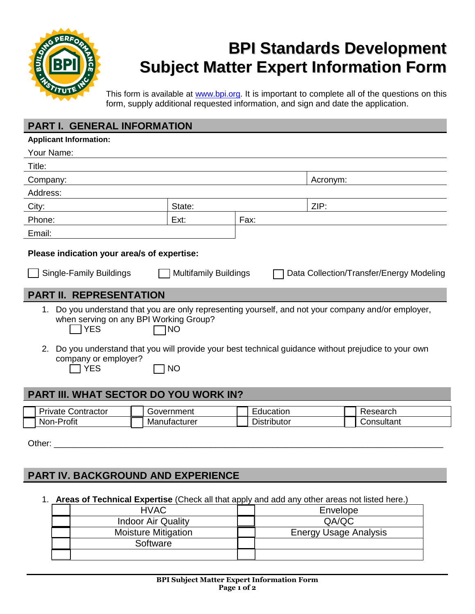

# **BPI Standards Development Subject Matter Expert Information Form**

This form is available at www.bpi.org. It is important to complete all of the questions on this form, supply additional requested information, and sign and date the application.

### **PART I. GENERAL INFORMATION**

| <b>Applicant Information:</b>                                                                                                                                                               |                        |              |                                                                                                                                                                                                        |
|---------------------------------------------------------------------------------------------------------------------------------------------------------------------------------------------|------------------------|--------------|--------------------------------------------------------------------------------------------------------------------------------------------------------------------------------------------------------|
| Your Name:                                                                                                                                                                                  |                        |              |                                                                                                                                                                                                        |
| Title:                                                                                                                                                                                      |                        |              |                                                                                                                                                                                                        |
| Company:                                                                                                                                                                                    |                        |              | Acronym:                                                                                                                                                                                               |
| Address:                                                                                                                                                                                    |                        |              |                                                                                                                                                                                                        |
| City:                                                                                                                                                                                       | State:                 |              | ZIP:                                                                                                                                                                                                   |
| Phone:                                                                                                                                                                                      | Ext:                   | Fax:         |                                                                                                                                                                                                        |
| Email:                                                                                                                                                                                      |                        |              |                                                                                                                                                                                                        |
| Please indication your area/s of expertise:<br><b>Single-Family Buildings</b><br><b>Multifamily Buildings</b><br>Data Collection/Transfer/Energy Modeling<br><b>PART II. REPRESENTATION</b> |                        |              |                                                                                                                                                                                                        |
| 1.<br>when serving on any BPI Working Group?<br><b>YES</b><br>2.<br>company or employer?<br><b>YES</b>                                                                                      | <b>NO</b><br><b>NO</b> |              | Do you understand that you are only representing yourself, and not your company and/or employer,<br>Do you understand that you will provide your best technical guidance without prejudice to your own |
| <b>PART III. WHAT SECTOR DO YOU WORK IN?</b>                                                                                                                                                |                        |              |                                                                                                                                                                                                        |
| Drivate Contractor                                                                                                                                                                          | Covormant              | $L$ duootion | <b>Donorob</b>                                                                                                                                                                                         |

| -<br>-<br>Contractor<br>Private | ment<br>ooven<br>ПI | ∟ducation                | ,coorob<br>Researc <sub>u</sub> |
|---------------------------------|---------------------|--------------------------|---------------------------------|
| <br>Profit<br>Non-              | Manutacturer        | -<br>rbutor:<br>Distrib′ | Consultant                      |

Other: \_\_\_\_\_\_\_\_\_\_\_\_\_\_\_\_\_\_\_\_\_\_\_\_\_\_\_\_\_\_\_\_\_\_\_\_\_\_\_\_\_\_\_\_\_\_\_\_\_\_\_\_\_\_\_\_\_\_\_\_\_\_\_\_\_\_\_\_\_\_\_\_\_\_\_\_\_\_\_\_\_\_

# **PART IV. BACKGROUND AND EXPERIENCE**

1. **Areas of Technical Expertise** (Check all that apply and add any other areas not listed here.)

| <b>HVAC</b>                | Envelope                     |
|----------------------------|------------------------------|
| <b>Indoor Air Quality</b>  | QA/QC                        |
| <b>Moisture Mitigation</b> | <b>Energy Usage Analysis</b> |
| Software                   |                              |
|                            |                              |